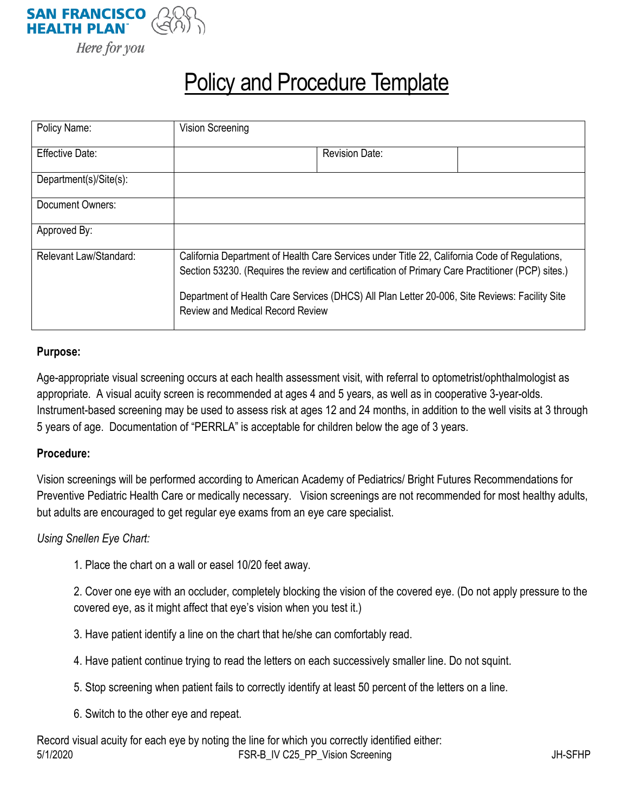

# Policy and Procedure Template

| Policy Name:           | <b>Vision Screening</b>                                                                                                                                                                                                                                                                                                                       |                       |  |
|------------------------|-----------------------------------------------------------------------------------------------------------------------------------------------------------------------------------------------------------------------------------------------------------------------------------------------------------------------------------------------|-----------------------|--|
| Effective Date:        |                                                                                                                                                                                                                                                                                                                                               | <b>Revision Date:</b> |  |
| Department(s)/Site(s): |                                                                                                                                                                                                                                                                                                                                               |                       |  |
| Document Owners:       |                                                                                                                                                                                                                                                                                                                                               |                       |  |
| Approved By:           |                                                                                                                                                                                                                                                                                                                                               |                       |  |
| Relevant Law/Standard: | California Department of Health Care Services under Title 22, California Code of Regulations,<br>Section 53230. (Requires the review and certification of Primary Care Practitioner (PCP) sites.)<br>Department of Health Care Services (DHCS) All Plan Letter 20-006, Site Reviews: Facility Site<br><b>Review and Medical Record Review</b> |                       |  |

## **Purpose:**

Age-appropriate visual screening occurs at each health assessment visit, with referral to optometrist/ophthalmologist as appropriate. A visual acuity screen is recommended at ages 4 and 5 years, as well as in cooperative 3-year-olds. Instrument-based screening may be used to assess risk at ages 12 and 24 months, in addition to the well visits at 3 through 5 years of age. Documentation of "PERRLA" is acceptable for children below the age of 3 years.

#### **Procedure:**

Vision screenings will be performed according to American Academy of Pediatrics/ Bright Futures Recommendations for Preventive Pediatric Health Care or medically necessary. Vision screenings are not recommended for most healthy adults, but adults are encouraged to get regular eye exams from an eye care specialist.

# *Using Snellen Eye Chart:*

1. Place the chart on a wall or easel 10/20 feet away.

2. Cover one eye with an occluder, completely blocking the vision of the covered eye. (Do not apply pressure to the covered eye, as it might affect that eye's vision when you test it.)

- 3. Have patient identify a line on the chart that he/she can comfortably read.
- 4. Have patient continue trying to read the letters on each successively smaller line. Do not squint.
- 5. Stop screening when patient fails to correctly identify at least 50 percent of the letters on a line.
- 6. Switch to the other eye and repeat.

5/1/2020 FSR-B\_IV C25\_PP\_Vision Screening JH-SFHP Record visual acuity for each eye by noting the line for which you correctly identified either: